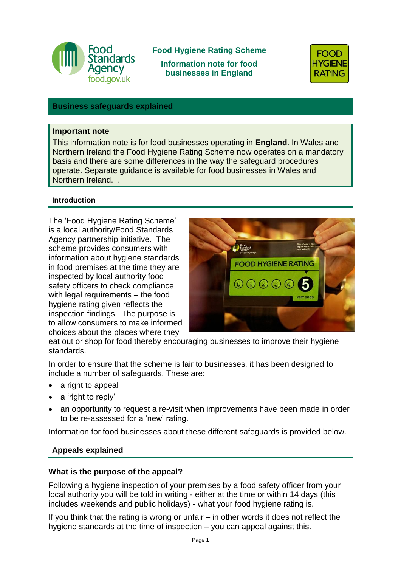

# **Food Hygiene Rating Scheme**

**Information note for food businesses in England** 



### **Business safeguards explained**

### **Important note**

This information note is for food businesses operating in **England**. In Wales and Northern Ireland the Food Hygiene Rating Scheme now operates on a mandatory basis and there are some differences in the way the safeguard procedures operate. Separate guidance is available for food businesses in Wales and Northern Ireland. .

### **Introduction**

The 'Food Hygiene Rating Scheme' is a local authority/Food Standards Agency partnership initiative. The scheme provides consumers with information about hygiene standards in food premises at the time they are inspected by local authority food safety officers to check compliance with legal requirements – the food hygiene rating given reflects the inspection findings. The purpose is to allow consumers to make informed choices about the places where they



eat out or shop for food thereby encouraging businesses to improve their hygiene standards.

In order to ensure that the scheme is fair to businesses, it has been designed to include a number of safeguards. These are:

- a right to appeal
- a 'right to reply'
- an opportunity to request a re-visit when improvements have been made in order to be re-assessed for a 'new' rating.

Information for food businesses about these different safeguards is provided below.

### **Appeals explained**

### **What is the purpose of the appeal?**

Following a hygiene inspection of your premises by a food safety officer from your local authority you will be told in writing - either at the time or within 14 days (this includes weekends and public holidays) - what your food hygiene rating is.

If you think that the rating is wrong or unfair – in other words it does not reflect the hygiene standards at the time of inspection – you can appeal against this.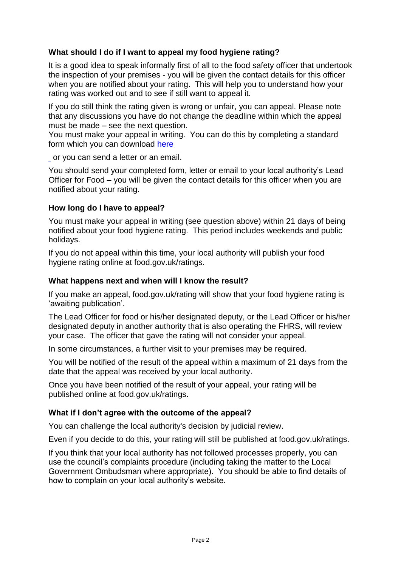## **What should I do if I want to appeal my food hygiene rating?**

It is a good idea to speak informally first of all to the food safety officer that undertook the inspection of your premises - you will be given the contact details for this officer when you are notified about your rating. This will help you to understand how your rating was worked out and to see if still want to appeal it.

If you do still think the rating given is wrong or unfair, you can appeal. Please note that any discussions you have do not change the deadline within which the appeal must be made – see the next question.

You must make your appeal in writing. You can do this by completing a standard form which you can download [here](https://www.food.gov.uk/sites/default/files/media/document/fhrs-appeal-form.doc)

or you can send a letter or an email.

You should send your completed form, letter or email to your local authority's Lead Officer for Food – you will be given the contact details for this officer when you are notified about your rating.

## **How long do I have to appeal?**

You must make your appeal in writing (see question above) within 21 days of being notified about your food hygiene rating. This period includes weekends and public holidays.

If you do not appeal within this time, your local authority will publish your food hygiene rating online at food.gov.uk/ratings.

## **What happens next and when will I know the result?**

If you make an appeal, food.gov.uk/rating will show that your food hygiene rating is 'awaiting publication'.

The Lead Officer for food or his/her designated deputy, or the Lead Officer or his/her designated deputy in another authority that is also operating the FHRS, will review your case. The officer that gave the rating will not consider your appeal.

In some circumstances, a further visit to your premises may be required.

You will be notified of the result of the appeal within a maximum of 21 days from the date that the appeal was received by your local authority.

Once you have been notified of the result of your appeal, your rating will be published online at food.gov.uk/ratings.

## **What if I don't agree with the outcome of the appeal?**

You can challenge the local authority's decision by judicial review.

Even if you decide to do this, your rating will still be published at food.gov.uk/ratings.

If you think that your local authority has not followed processes properly, you can use the council's complaints procedure (including taking the matter to the Local Government Ombudsman where appropriate). You should be able to find details of how to complain on your local authority's website.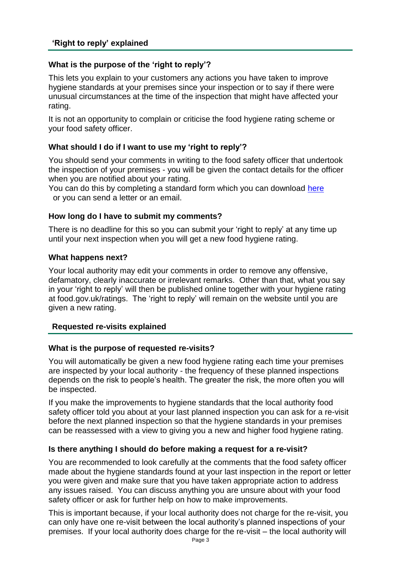### **What is the purpose of the 'right to reply'?**

This lets you explain to your customers any actions you have taken to improve hygiene standards at your premises since your inspection or to say if there were unusual circumstances at the time of the inspection that might have affected your rating.

It is not an opportunity to complain or criticise the food hygiene rating scheme or your food safety officer.

### **What should I do if I want to use my 'right to reply'?**

You should send your comments in writing to the food safety officer that undertook the inspection of your premises - you will be given the contact details for the officer when you are notified about your rating.

You can do this by completing a standard form which you can download [here](https://www.food.gov.uk/sites/default/files/media/document/fhrs-right-to-reply-form_0.doc) or you can send a letter or an email.

### **How long do I have to submit my comments?**

There is no deadline for this so you can submit your 'right to reply' at any time up until your next inspection when you will get a new food hygiene rating.

### **What happens next?**

Your local authority may edit your comments in order to remove any offensive, defamatory, clearly inaccurate or irrelevant remarks. Other than that, what you say in your 'right to reply' will then be published online together with your hygiene rating at food.gov.uk/ratings. The 'right to reply' will remain on the website until you are given a new rating.

### **Requested re-visits explained**

### **What is the purpose of requested re-visits?**

You will automatically be given a new food hygiene rating each time your premises are inspected by your local authority - the frequency of these planned inspections depends on the risk to people's health. The greater the risk, the more often you will be inspected.

If you make the improvements to hygiene standards that the local authority food safety officer told you about at your last planned inspection you can ask for a re-visit before the next planned inspection so that the hygiene standards in your premises can be reassessed with a view to giving you a new and higher food hygiene rating.

### **Is there anything I should do before making a request for a re-visit?**

You are recommended to look carefully at the comments that the food safety officer made about the hygiene standards found at your last inspection in the report or letter you were given and make sure that you have taken appropriate action to address any issues raised. You can discuss anything you are unsure about with your food safety officer or ask for further help on how to make improvements.

This is important because, if your local authority does not charge for the re-visit, you can only have one re-visit between the local authority's planned inspections of your premises. If your local authority does charge for the re-visit – the local authority will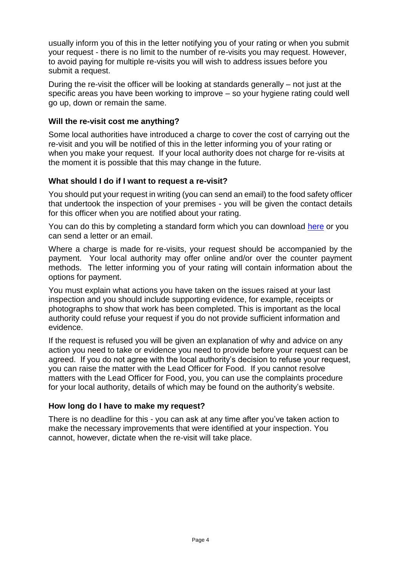usually inform you of this in the letter notifying you of your rating or when you submit your request - there is no limit to the number of re-visits you may request. However, to avoid paying for multiple re-visits you will wish to address issues before you submit a request.

During the re-visit the officer will be looking at standards generally – not just at the specific areas you have been working to improve – so your hygiene rating could well go up, down or remain the same.

### **Will the re-visit cost me anything?**

Some local authorities have introduced a charge to cover the cost of carrying out the re-visit and you will be notified of this in the letter informing you of your rating or when you make your request. If your local authority does not charge for re-visits at the moment it is possible that this may change in the future.

### **What should I do if I want to request a re-visit?**

You should put your request in writing (you can send an email) to the food safety officer that undertook the inspection of your premises - you will be given the contact details for this officer when you are notified about your rating.

You can do this by completing a standard form which you can download [here](https://www.food.gov.uk/sites/default/files/media/document/fhrs-re-visit-form_0.doc) or you can send a letter or an email.

Where a charge is made for re-visits, your request should be accompanied by the payment. Your local authority may offer online and/or over the counter payment methods. The letter informing you of your rating will contain information about the options for payment.

You must explain what actions you have taken on the issues raised at your last inspection and you should include supporting evidence, for example, receipts or photographs to show that work has been completed. This is important as the local authority could refuse your request if you do not provide sufficient information and evidence.

If the request is refused you will be given an explanation of why and advice on any action you need to take or evidence you need to provide before your request can be agreed. If you do not agree with the local authority's decision to refuse your request, you can raise the matter with the Lead Officer for Food. If you cannot resolve matters with the Lead Officer for Food, you, you can use the complaints procedure for your local authority, details of which may be found on the authority's website.

### **How long do I have to make my request?**

There is no deadline for this - you can ask at any time after you've taken action to make the necessary improvements that were identified at your inspection. You cannot, however, dictate when the re-visit will take place.